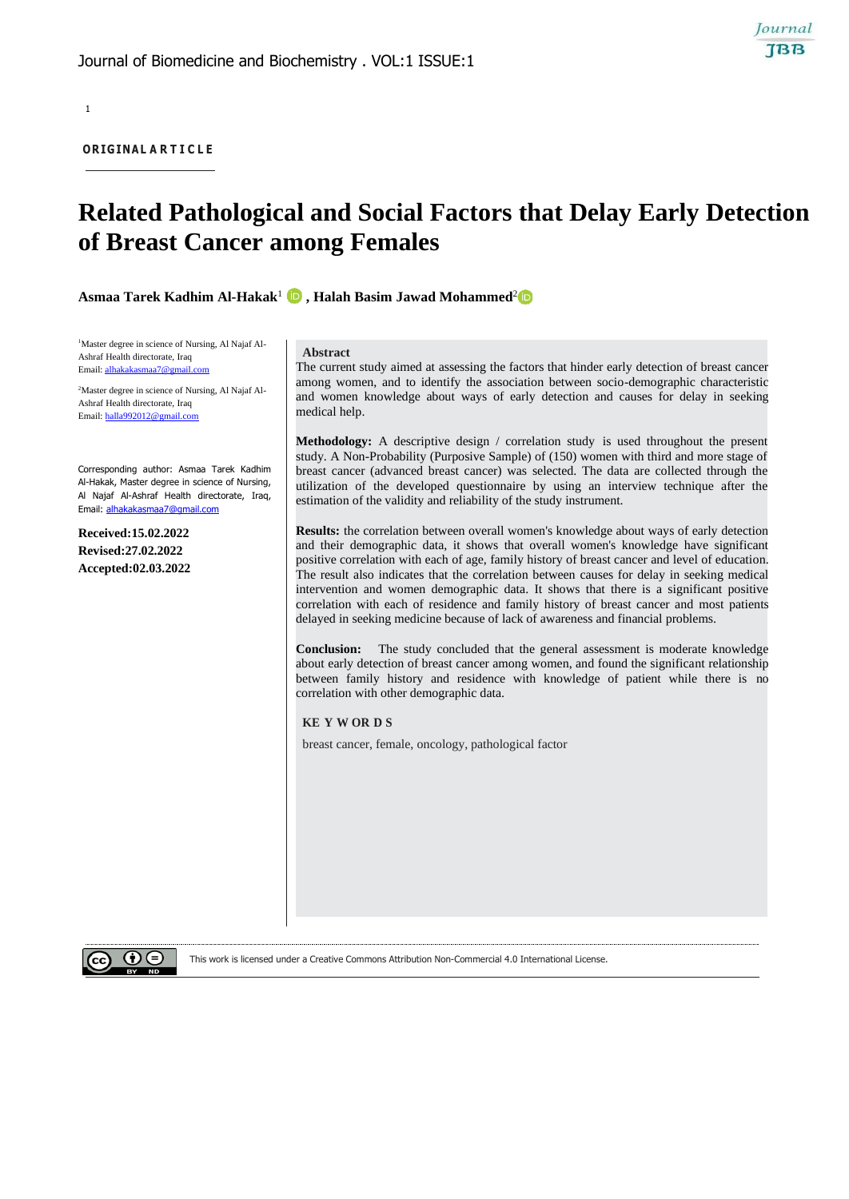1

**OR IG INAL A R T I C L E**

# **Related Pathological and Social Factors that Delay Early Detection of Breast Cancer among Females**

**Asmaa Tarek Kadhim Al-Hakak**<sup>1</sup> **, Halah Basim Jawad Mohammed**<sup>2</sup>

<sup>1</sup>Master degree in science of Nursing, Al Najaf Al-Ashraf Health directorate, Iraq Email: [alhakakasmaa7@gmail.com](mailto:alhakakasmaa7@gmail.com)

2Master degree in science of Nursing, Al Najaf Al-Ashraf Health directorate, Iraq Email: [halla992012@gmail.com](mailto:halla992012@gmail.com)

Corresponding author: Asmaa Tarek Kadhim Al-Hakak, Master degree in science of Nursing, Al Najaf Al-Ashraf Health directorate, Iraq, Email: [alhakakasmaa7@gmail.com](mailto:alhakakasmaa7@gmail.com)

**Received:15.02.2022 Revised:27.02.2022 Accepted:02.03.2022**

#### **Abstract**

The current study aimed at assessing the factors that hinder early detection of breast cancer among women, and to identify the association between socio-demographic characteristic and women knowledge about ways of early detection and causes for delay in seeking medical help.

Journal **TBB** 

**Methodology:** A descriptive design / correlation study is used throughout the present study. A Non-Probability (Purposive Sample) of (150) women with third and more stage of breast cancer (advanced breast cancer) was selected. The data are collected through the utilization of the developed questionnaire by using an interview technique after the estimation of the validity and reliability of the study instrument.

**Results:** the correlation between overall women's knowledge about ways of early detection and their demographic data, it shows that overall women's knowledge have significant positive correlation with each of age, family history of breast cancer and level of education. The result also indicates that the correlation between causes for delay in seeking medical intervention and women demographic data. It shows that there is a significant positive correlation with each of residence and family history of breast cancer and most patients delayed in seeking medicine because of lack of awareness and financial problems.

**Conclusion:** The study concluded that the general assessment is moderate knowledge about early detection of breast cancer among women, and found the significant relationship between family history and residence with knowledge of patient while there is no correlation with other demographic data.

### **KE Y W OR D S**

breast cancer, female, oncology, pathological factor

This work is licensed under a Creative Commons Attribution Non-Commercial 4.0 International License.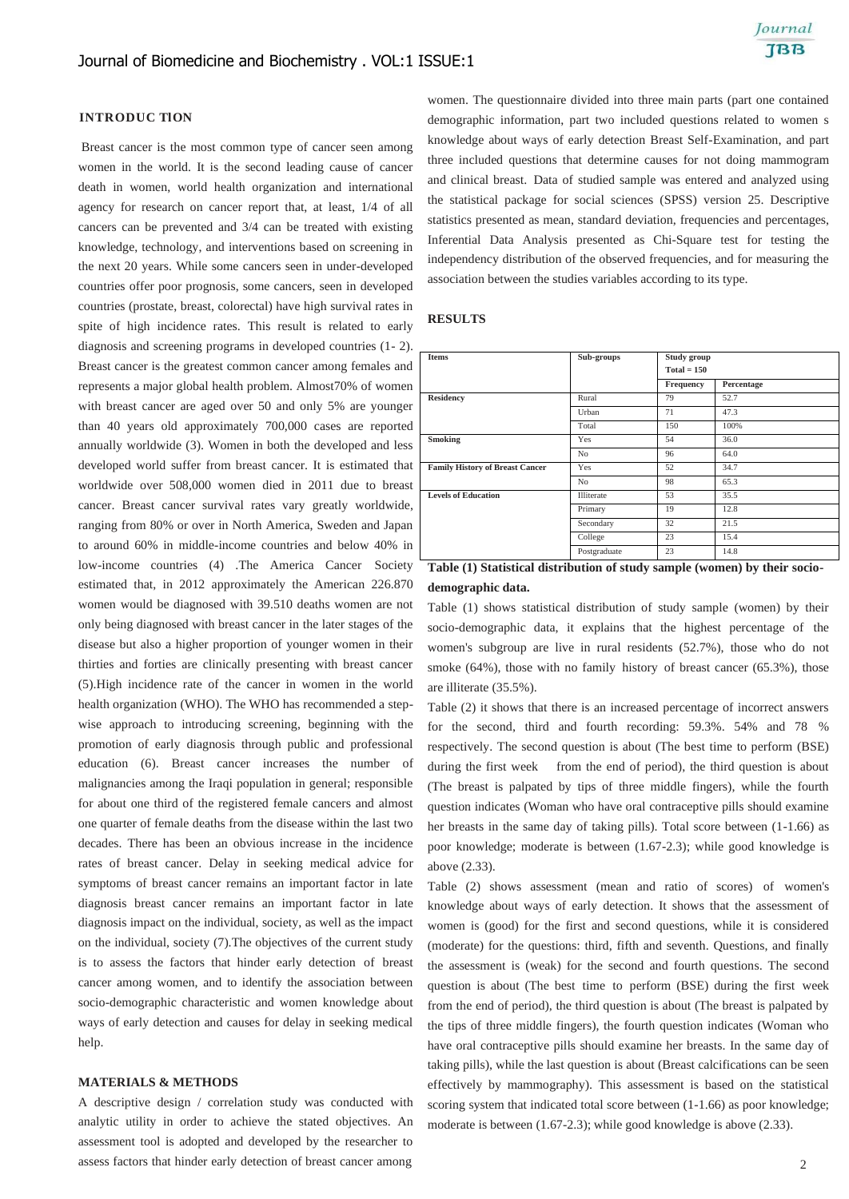### **INTRODUC TlON**

Breast cancer is the most common type of cancer seen among women in the world. It is the second leading cause of cancer death in women, world health organization and international agency for research on cancer report that, at least, 1/4 of all cancers can be prevented and 3/4 can be treated with existing knowledge, technology, and interventions based on screening in the next 20 years. While some cancers seen in under-developed countries offer poor prognosis, some cancers, seen in developed countries (prostate, breast, colorectal) have high survival rates in spite of high incidence rates. This result is related to early diagnosis and screening programs in developed countries (1- 2). Breast cancer is the greatest common cancer among females and represents a major global health problem. Almost70% of women with breast cancer are aged over 50 and only 5% are younger than 40 years old approximately 700,000 cases are reported annually worldwide (3). Women in both the developed and less developed world suffer from breast cancer. It is estimated that worldwide over 508,000 women died in 2011 due to breast cancer. Breast cancer survival rates vary greatly worldwide, ranging from 80% or over in North America, Sweden and Japan to around 60% in middle-income countries and below 40% in low-income countries (4) .The America Cancer Society estimated that, in 2012 approximately the American 226.870 women would be diagnosed with 39.510 deaths women are not only being diagnosed with breast cancer in the later stages of the disease but also a higher proportion of younger women in their thirties and forties are clinically presenting with breast cancer (5).High incidence rate of the cancer in women in the world health organization (WHO). The WHO has recommended a stepwise approach to introducing screening, beginning with the promotion of early diagnosis through public and professional education (6). Breast cancer increases the number of malignancies among the Iraqi population in general; responsible for about one third of the registered female cancers and almost one quarter of female deaths from the disease within the last two decades. There has been an obvious increase in the incidence rates of breast cancer. Delay in seeking medical advice for symptoms of breast cancer remains an important factor in late diagnosis breast cancer remains an important factor in late diagnosis impact on the individual, society, as well as the impact on the individual, society (7).The objectives of the current study is to assess the factors that hinder early detection of breast cancer among women, and to identify the association between socio-demographic characteristic and women knowledge about ways of early detection and causes for delay in seeking medical help.

### **MATERIALS & METHODS**

A descriptive design / correlation study was conducted with analytic utility in order to achieve the stated objectives. An assessment tool is adopted and developed by the researcher to assess factors that hinder early detection of breast cancer among

women. The questionnaire divided into three main parts (part one contained demographic information, part two included questions related to women s knowledge about ways of early detection Breast Self-Examination, and part three included questions that determine causes for not doing mammogram and clinical breast. Data of studied sample was entered and analyzed using the statistical package for social sciences (SPSS) version 25. Descriptive statistics presented as mean, standard deviation, frequencies and percentages, Inferential Data Analysis presented as Chi-Square test for testing the independency distribution of the observed frequencies, and for measuring the association between the studies variables according to its type.

#### **RESULTS**

| <b>Items</b>                           | Sub-groups                             | Study group   |            |  |
|----------------------------------------|----------------------------------------|---------------|------------|--|
|                                        |                                        |               |            |  |
|                                        |                                        | $Total = 150$ |            |  |
|                                        |                                        | Frequency     | Percentage |  |
| <b>Residency</b>                       | Rural                                  | 79            | 52.7       |  |
|                                        | Urban                                  | 71            | 47.3       |  |
|                                        | Total                                  | 150           | 100%       |  |
| Smoking                                | Yes                                    | 54            | 36.0       |  |
|                                        | N <sub>o</sub>                         | 96            | 64.0       |  |
| <b>Family History of Breast Cancer</b> | Yes                                    | 52            | 34.7       |  |
|                                        | N <sub>o</sub>                         | 98            | 65.3       |  |
| <b>Levels of Education</b>             | Illiterate                             | 53            | 35.5       |  |
|                                        | Primary                                | 19            | 12.8       |  |
|                                        | Secondary                              | 32            | 21.5       |  |
|                                        | College                                | 23            | 15.4       |  |
|                                        | Postgraduate                           | 23            | 14.8       |  |
| .<br>                                  | and the contract of the con-<br>$\sim$ |               | $\sim$     |  |

**Table (1) Statistical distribution of study sample (women) by their sociodemographic data.**

Table (1) shows statistical distribution of study sample (women) by their socio-demographic data, it explains that the highest percentage of the women's subgroup are live in rural residents (52.7%), those who do not smoke (64%), those with no family history of breast cancer (65.3%), those are illiterate (35.5%).

Table (2) it shows that there is an increased percentage of incorrect answers for the second, third and fourth recording: 59.3%. 54% and 78 % respectively. The second question is about (The best time to perform (BSE) during the first week from the end of period), the third question is about (The breast is palpated by tips of three middle fingers), while the fourth question indicates (Woman who have oral contraceptive pills should examine her breasts in the same day of taking pills). Total score between (1-1.66) as poor knowledge; moderate is between (1.67-2.3); while good knowledge is above (2.33).

Table (2) shows assessment (mean and ratio of scores) of women's knowledge about ways of early detection. It shows that the assessment of women is (good) for the first and second questions, while it is considered (moderate) for the questions: third, fifth and seventh. Questions, and finally the assessment is (weak) for the second and fourth questions. The second question is about (The best time to perform (BSE) during the first week from the end of period), the third question is about (The breast is palpated by the tips of three middle fingers), the fourth question indicates (Woman who have oral contraceptive pills should examine her breasts. In the same day of taking pills), while the last question is about (Breast calcifications can be seen effectively by mammography). This assessment is based on the statistical scoring system that indicated total score between (1-1.66) as poor knowledge; moderate is between (1.67-2.3); while good knowledge is above (2.33).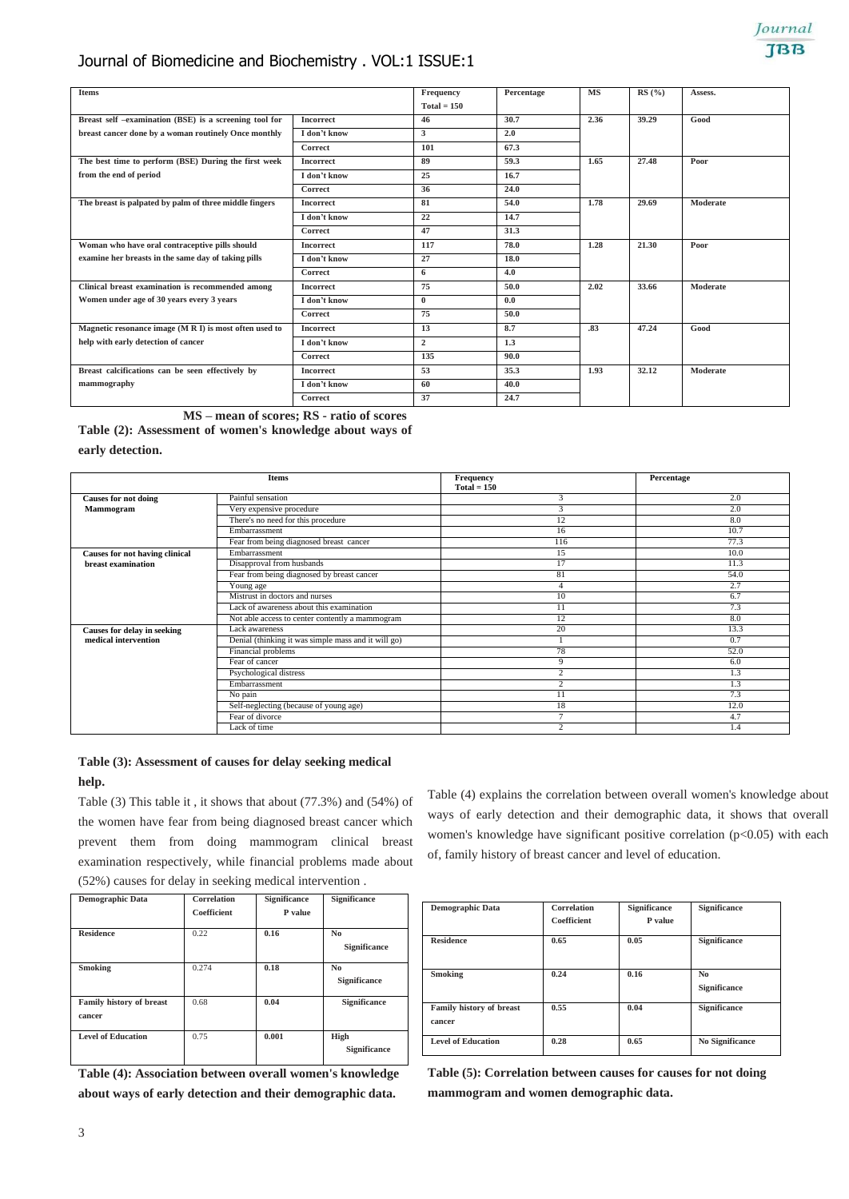# Journal of Biomedicine and Biochemistry . VOL:1 ISSUE:1

| <b>Items</b>                                           |                  | Frequency<br>$Total = 150$ | Percentage | <b>MS</b> | RS(%) | Assess.  |
|--------------------------------------------------------|------------------|----------------------------|------------|-----------|-------|----------|
| Breast self -examination (BSE) is a screening tool for | <b>Incorrect</b> | 46                         | 30.7       | 2.36      | 39.29 | Good     |
| breast cancer done by a woman routinely Once monthly   | I don't know     | 3                          | 2.0        |           |       |          |
|                                                        | Correct          | 101                        | 67.3       |           |       |          |
| The best time to perform (BSE) During the first week   | <b>Incorrect</b> | 89                         | 59.3       | 1.65      | 27.48 | Poor     |
| from the end of period                                 | I don't know     | 25                         | 16.7       |           |       |          |
|                                                        | <b>Correct</b>   | 36                         | 24.0       |           |       |          |
| The breast is palpated by palm of three middle fingers | <b>Incorrect</b> | 81                         | 54.0       | 1.78      | 29.69 | Moderate |
|                                                        | I don't know     | 22                         | 14.7       |           |       |          |
|                                                        | Correct          | 47                         | 31.3       |           |       |          |
| Woman who have oral contraceptive pills should         | <b>Incorrect</b> | 117                        | 78.0       | 1.28      | 21.30 | Poor     |
| examine her breasts in the same day of taking pills    | I don't know     | 27                         | 18.0       |           |       |          |
|                                                        | Correct          | 6                          | 4.0        |           |       |          |
| Clinical breast examination is recommended among       | <b>Incorrect</b> | 75                         | 50.0       | 2.02      | 33.66 | Moderate |
| Women under age of 30 years every 3 years              | I don't know     | $\theta$                   | 0.0        |           |       |          |
|                                                        | Correct          | 75                         | 50.0       |           |       |          |
| Magnetic resonance image (M R I) is most often used to | <b>Incorrect</b> | 13                         | 8.7        | .83       | 47.24 | Good     |
| help with early detection of cancer                    | I don't know     | $\overline{2}$             | 1.3        |           |       |          |
|                                                        | Correct          | 135                        | 90.0       |           |       |          |
| Breast calcifications can be seen effectively by       | <b>Incorrect</b> | 53                         | 35.3       | 1.93      | 32.12 | Moderate |
| mammography                                            | I don't know     | 60                         | 40.0       |           |       |          |
|                                                        | Correct          | 37                         | 24.7       |           |       |          |

**MS – mean of scores; RS - ratio of scores**

**Table (2): Assessment of women's knowledge about ways of early detection.**

|                                | <b>Items</b>                                        | Frequency<br>$Total = 150$ | Percentage |
|--------------------------------|-----------------------------------------------------|----------------------------|------------|
| <b>Causes for not doing</b>    | Painful sensation                                   | 3                          | 2.0        |
| Mammogram                      | Very expensive procedure                            | 3                          | 2.0        |
|                                | There's no need for this procedure                  | 12                         | 8.0        |
|                                | Embarrassment                                       | 16                         | 10.7       |
|                                | Fear from being diagnosed breast cancer             | 116                        | 77.3       |
| Causes for not having clinical | Embarrassment                                       | 15                         | 10.0       |
| breast examination             | Disapproval from husbands                           | 17                         | 11.3       |
|                                | Fear from being diagnosed by breast cancer          | 81                         | 54.0       |
|                                | Young age                                           |                            | 2.7        |
|                                | Mistrust in doctors and nurses                      | 10                         | 6.7        |
|                                | Lack of awareness about this examination            | 11                         | 7.3        |
|                                | Not able access to center contently a mammogram     | 12                         | 8.0        |
| Causes for delay in seeking    | Lack awareness                                      | 20                         | 13.3       |
| medical intervention           | Denial (thinking it was simple mass and it will go) |                            | 0.7        |
|                                | Financial problems                                  | 78                         | 52.0       |
|                                | Fear of cancer                                      | 9                          | 6.0        |
|                                | Psychological distress                              | $\gamma$                   | 1.3        |
|                                | Embarrassment                                       | $\sim$                     | 1.3        |
|                                | No pain                                             | 11                         | 7.3        |
|                                | Self-neglecting (because of young age)              | 18                         | 12.0       |
|                                | Fear of divorce                                     | n,                         | 4.7        |
|                                | Lack of time                                        | $\sim$                     | 1.4        |

# **Table (3): Assessment of causes for delay seeking medical help.**

Table (3) This table it , it shows that about (77.3%) and (54%) of the women have fear from being diagnosed breast cancer which prevent them from doing mammogram clinical breast examination respectively, while financial problems made about (52%) causes for delay in seeking medical intervention .

| <b>Demographic Data</b>            | Correlation<br>Coefficient | <b>Significance</b><br>P value | <b>Significance</b>            |
|------------------------------------|----------------------------|--------------------------------|--------------------------------|
| <b>Residence</b>                   | 0.22                       | 0.16                           | N <sub>0</sub><br>Significance |
| Smoking                            | 0.274                      | 0.18                           | N <sub>0</sub><br>Significance |
| Family history of breast<br>cancer | 0.68                       | 0.04                           | <b>Significance</b>            |
| <b>Level of Education</b>          | 0.75                       | 0.001                          | High<br><b>Significance</b>    |

**Table (4): Association between overall women's knowledge about ways of early detection and their demographic data.**

Table (4) explains the correlation between overall women's knowledge about ways of early detection and their demographic data, it shows that overall women's knowledge have significant positive correlation  $(p<0.05)$  with each of, family history of breast cancer and level of education.

| <b>Demographic Data</b>   | Correlation | Significance | <b>Significance</b>    |
|---------------------------|-------------|--------------|------------------------|
|                           |             |              |                        |
|                           | Coefficient | P value      |                        |
|                           |             |              |                        |
| <b>Residence</b>          | 0.65        | 0.05         | <b>Significance</b>    |
|                           |             |              |                        |
|                           |             |              |                        |
|                           |             |              |                        |
| Smoking                   | 0.24        | 0.16         | N <sub>0</sub>         |
|                           |             |              |                        |
|                           |             |              | Significance           |
|                           |             |              |                        |
| Family history of breast  | 0.55        | 0.04         | Significance           |
|                           |             |              |                        |
| cancer                    |             |              |                        |
|                           |             |              |                        |
| <b>Level of Education</b> | 0.28        | 0.65         | <b>No Significance</b> |
|                           |             |              |                        |
|                           |             |              |                        |

**Table (5): Correlation between causes for causes for not doing mammogram and women demographic data.**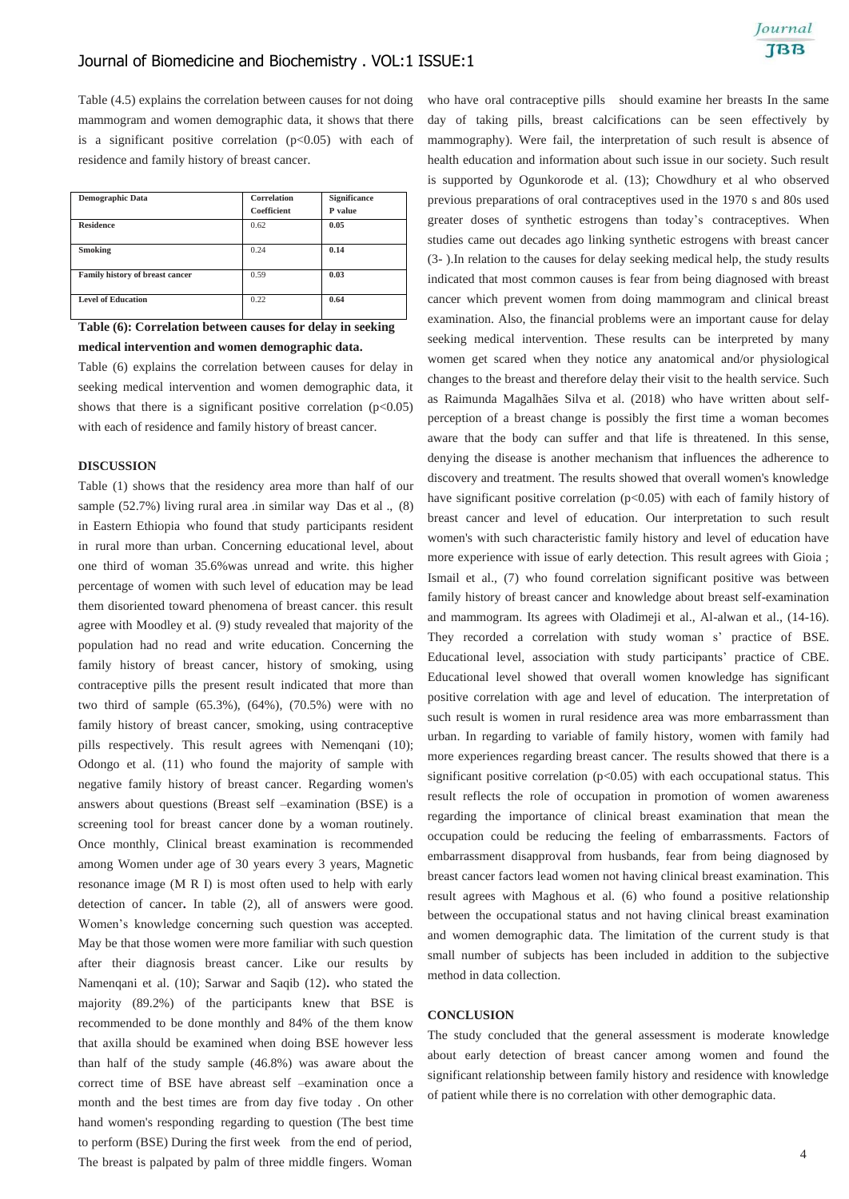Table (4.5) explains the correlation between causes for not doing mammogram and women demographic data, it shows that there is a significant positive correlation  $(p<0.05)$  with each of residence and family history of breast cancer.

| <b>Demographic Data</b>         | Correlation<br>Coefficient | Significance<br>P value |
|---------------------------------|----------------------------|-------------------------|
| <b>Residence</b>                | 0.62                       | 0.05                    |
| Smoking                         | 0.24                       | 0.14                    |
| Family history of breast cancer | 0.59                       | 0.03                    |
| <b>Level of Education</b>       | 0.22                       | 0.64                    |

# **Table (6): Correlation between causes for delay in seeking medical intervention and women demographic data.**

Table (6) explains the correlation between causes for delay in seeking medical intervention and women demographic data, it shows that there is a significant positive correlation  $(p<0.05)$ with each of residence and family history of breast cancer.

### **DISCUSSION**

Table (1) shows that the residency area more than half of our sample (52.7%) living rural area .in similar way Das et al ., (8) in Eastern Ethiopia who found that study participants resident in rural more than urban. Concerning educational level, about one third of woman 35.6%was unread and write. this higher percentage of women with such level of education may be lead them disoriented toward phenomena of breast cancer. this result agree with Moodley et al. (9) study revealed that majority of the population had no read and write education. Concerning the family history of breast cancer, history of smoking, using contraceptive pills the present result indicated that more than two third of sample (65.3%), (64%), (70.5%) were with no family history of breast cancer, smoking, using contraceptive pills respectively. This result agrees with Nemenqani (10); Odongo et al. (11) who found the majority of sample with negative family history of breast cancer. Regarding women's answers about questions (Breast self –examination (BSE) is a screening tool for breast cancer done by a woman routinely. Once monthly, Clinical breast examination is recommended among Women under age of 30 years every 3 years, Magnetic resonance image (M R I) is most often used to help with early detection of cancer**.** In table (2), all of answers were good. Women's knowledge concerning such question was accepted. May be that those women were more familiar with such question after their diagnosis breast cancer. Like our results by Namenqani et al. (10); Sarwar and Saqib (12)**.** who stated the majority (89.2%) of the participants knew that BSE is recommended to be done monthly and 84% of the them know that axilla should be examined when doing BSE however less than half of the study sample (46.8%) was aware about the correct time of BSE have abreast self –examination once a month and the best times are from day five today . On other hand women's responding regarding to question (The best time to perform (BSE) During the first week from the end of period, The breast is palpated by palm of three middle fingers. Woman

who have oral contraceptive pills should examine her breasts In the same day of taking pills, breast calcifications can be seen effectively by mammography). Were fail, the interpretation of such result is absence of health education and information about such issue in our society. Such result is supported by Ogunkorode et al. (13); Chowdhury et al who observed previous preparations of oral contraceptives used in the 1970 s and 80s used greater doses of synthetic estrogens than today's contraceptives. When studies came out decades ago linking synthetic estrogens with breast cancer (3- ).In relation to the causes for delay seeking medical help, the study results indicated that most common causes is fear from being diagnosed with breast cancer which prevent women from doing mammogram and clinical breast examination. Also, the financial problems were an important cause for delay seeking medical intervention. These results can be interpreted by many women get scared when they notice any anatomical and/or physiological changes to the breast and therefore delay their visit to the health service. Such as Raimunda Magalhães Silva et al. (2018) who have written about selfperception of a breast change is possibly the first time a woman becomes aware that the body can suffer and that life is threatened. In this sense, denying the disease is another mechanism that influences the adherence to discovery and treatment. The results showed that overall women's knowledge have significant positive correlation  $(p<0.05)$  with each of family history of breast cancer and level of education. Our interpretation to such result women's with such characteristic family history and level of education have more experience with issue of early detection. This result agrees with Gioia ; Ismail et al., (7) who found correlation significant positive was between family history of breast cancer and knowledge about breast self-examination and mammogram. Its agrees with Oladimeji et al., Al-alwan et al., (14-16). They recorded a correlation with study woman s' practice of BSE. Educational level, association with study participants' practice of CBE. Educational level showed that overall women knowledge has significant positive correlation with age and level of education. The interpretation of such result is women in rural residence area was more embarrassment than urban. In regarding to variable of family history, women with family had more experiences regarding breast cancer. The results showed that there is a significant positive correlation  $(p<0.05)$  with each occupational status. This result reflects the role of occupation in promotion of women awareness regarding the importance of clinical breast examination that mean the occupation could be reducing the feeling of embarrassments. Factors of embarrassment disapproval from husbands, fear from being diagnosed by breast cancer factors lead women not having clinical breast examination. This result agrees with Maghous et al. (6) who found a positive relationship between the occupational status and not having clinical breast examination and women demographic data. The limitation of the current study is that small number of subjects has been included in addition to the subjective method in data collection.

### **CONCLUSION**

The study concluded that the general assessment is moderate knowledge about early detection of breast cancer among women and found the significant relationship between family history and residence with knowledge of patient while there is no correlation with other demographic data.